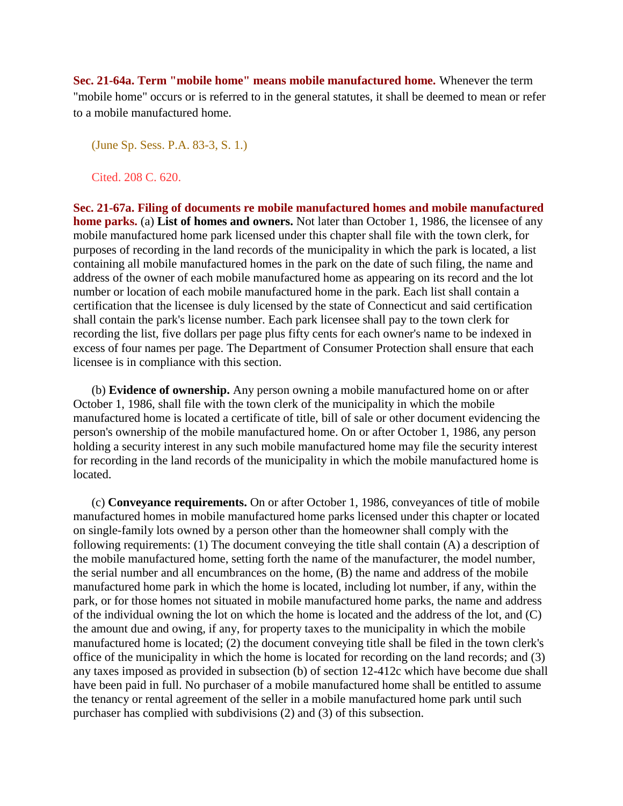**Sec. 21-64a. Term "mobile home" means mobile manufactured home.** Whenever the term "mobile home" occurs or is referred to in the general statutes, it shall be deemed to mean or refer to a mobile manufactured home.

(June Sp. Sess. P.A. 83-3, S. 1.)

Cited. 208 C. 620.

**Sec. 21-67a. Filing of documents re mobile manufactured homes and mobile manufactured home parks.** (a) **List of homes and owners.** Not later than October 1, 1986, the licensee of any mobile manufactured home park licensed under this chapter shall file with the town clerk, for purposes of recording in the land records of the municipality in which the park is located, a list containing all mobile manufactured homes in the park on the date of such filing, the name and address of the owner of each mobile manufactured home as appearing on its record and the lot number or location of each mobile manufactured home in the park. Each list shall contain a certification that the licensee is duly licensed by the state of Connecticut and said certification shall contain the park's license number. Each park licensee shall pay to the town clerk for recording the list, five dollars per page plus fifty cents for each owner's name to be indexed in excess of four names per page. The Department of Consumer Protection shall ensure that each licensee is in compliance with this section.

 (b) **Evidence of ownership.** Any person owning a mobile manufactured home on or after October 1, 1986, shall file with the town clerk of the municipality in which the mobile manufactured home is located a certificate of title, bill of sale or other document evidencing the person's ownership of the mobile manufactured home. On or after October 1, 1986, any person holding a security interest in any such mobile manufactured home may file the security interest for recording in the land records of the municipality in which the mobile manufactured home is located.

 (c) **Conveyance requirements.** On or after October 1, 1986, conveyances of title of mobile manufactured homes in mobile manufactured home parks licensed under this chapter or located on single-family lots owned by a person other than the homeowner shall comply with the following requirements: (1) The document conveying the title shall contain (A) a description of the mobile manufactured home, setting forth the name of the manufacturer, the model number, the serial number and all encumbrances on the home, (B) the name and address of the mobile manufactured home park in which the home is located, including lot number, if any, within the park, or for those homes not situated in mobile manufactured home parks, the name and address of the individual owning the lot on which the home is located and the address of the lot, and (C) the amount due and owing, if any, for property taxes to the municipality in which the mobile manufactured home is located; (2) the document conveying title shall be filed in the town clerk's office of the municipality in which the home is located for recording on the land records; and (3) any taxes imposed as provided in subsection (b) of section 12-412c which have become due shall have been paid in full. No purchaser of a mobile manufactured home shall be entitled to assume the tenancy or rental agreement of the seller in a mobile manufactured home park until such purchaser has complied with subdivisions (2) and (3) of this subsection.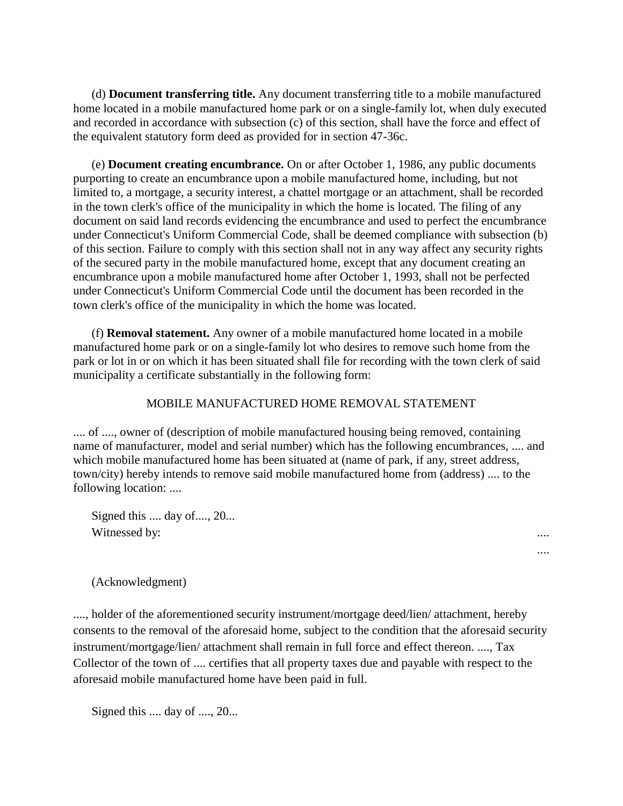(d) **Document transferring title.** Any document transferring title to a mobile manufactured home located in a mobile manufactured home park or on a single-family lot, when duly executed and recorded in accordance with subsection (c) of this section, shall have the force and effect of the equivalent statutory form deed as provided for in section 47-36c.

 (e) **Document creating encumbrance.** On or after October 1, 1986, any public documents purporting to create an encumbrance upon a mobile manufactured home, including, but not limited to, a mortgage, a security interest, a chattel mortgage or an attachment, shall be recorded in the town clerk's office of the municipality in which the home is located. The filing of any document on said land records evidencing the encumbrance and used to perfect the encumbrance under Connecticut's Uniform Commercial Code, shall be deemed compliance with subsection (b) of this section. Failure to comply with this section shall not in any way affect any security rights of the secured party in the mobile manufactured home, except that any document creating an encumbrance upon a mobile manufactured home after October 1, 1993, shall not be perfected under Connecticut's Uniform Commercial Code until the document has been recorded in the town clerk's office of the municipality in which the home was located.

 (f) **Removal statement.** Any owner of a mobile manufactured home located in a mobile manufactured home park or on a single-family lot who desires to remove such home from the park or lot in or on which it has been situated shall file for recording with the town clerk of said municipality a certificate substantially in the following form:

## MOBILE MANUFACTURED HOME REMOVAL STATEMENT

.... of ...., owner of (description of mobile manufactured housing being removed, containing name of manufacturer, model and serial number) which has the following encumbrances, .... and which mobile manufactured home has been situated at (name of park, if any, street address, town/city) hereby intends to remove said mobile manufactured home from (address) .... to the following location: ....

Signed this .... day of ...., 20... Witnessed by:

(Acknowledgment)

...., holder of the aforementioned security instrument/mortgage deed/lien/ attachment, hereby consents to the removal of the aforesaid home, subject to the condition that the aforesaid security instrument/mortgage/lien/ attachment shall remain in full force and effect thereon. ...., Tax Collector of the town of .... certifies that all property taxes due and payable with respect to the aforesaid mobile manufactured home have been paid in full.

....

Signed this .... day of ...., 20...